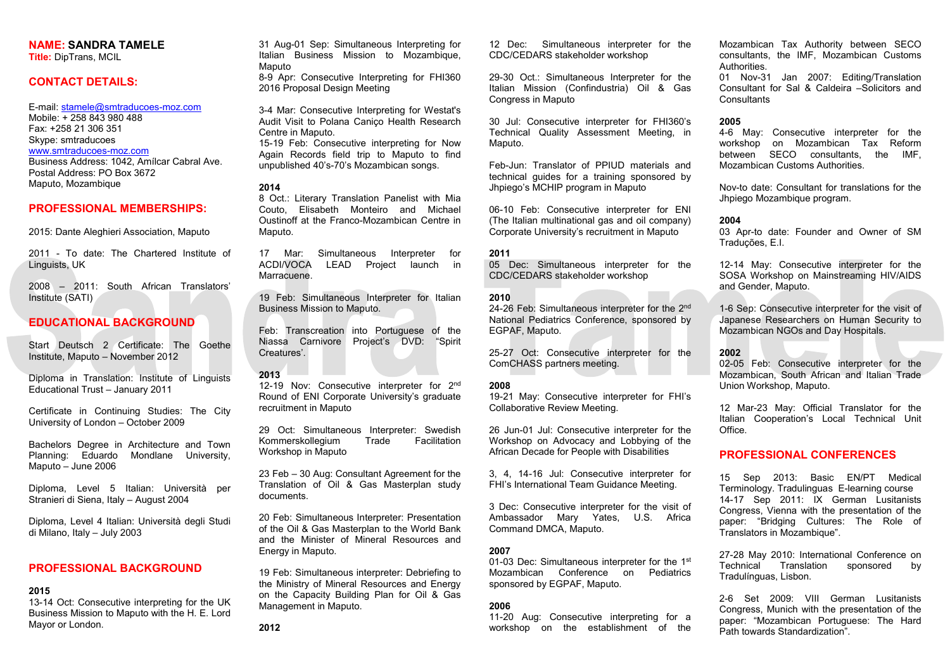# NAME: SANDRA TAMELE

Title: DipTrans, MCIL

# CONTACT DETAILS:

E-mail: stamele@smtraducoes-moz.com Mobile: + 258 843 980 488 Fax: +258 21 306 351 Skype: smtraducoes www.smtraducoes-moz.com Business Address: 1042, Amílcar Cabral Ave. Postal Address: PO Box 3672 Maputo, Mozambique

# PROFESSIONAL MEMBERSHIPS:

2015: Dante Aleghieri Association, Maputo

2011 - To date: The Chartered Institute of Linguists, UK

2008 – 2011: South African Translators' Institute (SATI)

# EDUCATIONAL BACKGROUND

Start Deutsch 2 Certificate: The Goethe Institute, Maputo – November 2012

Diploma in Translation: Institute of Linguists Educational Trust – January 2011

Certificate in Continuing Studies: The City University of London – October 2009

Bachelors Degree in Architecture and Town Planning: Eduardo Mondlane University, Maputo – June 2006

Diploma, Level 5 Italian: Università per Stranieri di Siena, Italy – August 2004

Diploma, Level 4 Italian: Università degli Studi di Milano, Italy – July 2003

# PROFESSIONAL BACKGROUND

# 2015

12-19 Nov: Consecutive interpreter for 2<sup>nd</sup> Round of ENI Corporate University's graduate recruitment in Maputo

13-14 Oct: Consecutive interpreting for the UK Business Mission to Maputo with the H. E. Lord Mayor or London.

31 Aug-01 Sep: Simultaneous Interpreting for Italian Business Mission to Mozambique, Maputo

8-9 Apr: Consecutive Interpreting for FHI360 2016 Proposal Design Meeting

3-4 Mar: Consecutive Interpreting for Westat's Audit Visit to Polana Caniço Health Research Centre in Maputo.

15-19 Feb: Consecutive interpreting for Now Again Records field trip to Maputo to find unpublished 40's-70's Mozambican songs.

### 2014

8 Oct.: Literary Translation Panelist with Mia Couto, Elisabeth Monteiro and Michael Oustinoff at the Franco-Mozambican Centre in Maputo.

> 24-26 Feb: Simultaneous interpreter for the 2<sup>nd</sup> National Pediatrics Conference, sponsored by EGPAF, Maputo.

17 Mar: Simultaneous Interpreter for ACDI/VOCA LEAD Project launch in Marracuene.

19 Feb: Simultaneous Interpreter for Italian Business Mission to Maputo.

Feb: Transcreation into Portuguese of the Niassa Carnivore Project's DVD: "Spirit Creatures'.

## 2013

01-03 Dec: Simultaneous interpreter for the 1<sup>st</sup> Mozambican Conference on Pediatrics sponsored by EGPAF, Maputo.

01 Nov-31 Jan 2007: Editing/Translation Consultant for Sal & Caldeira –Solicitors and **Consultants** 

29 Oct: Simultaneous Interpreter: Swedish Kommerskollegium Trade Facilitation Workshop in Maputo

23 Feb – 30 Aug: Consultant Agreement for the Translation of Oil & Gas Masterplan study documents.

20 Feb: Simultaneous Interpreter: Presentation of the Oil & Gas Masterplan to the World Bank and the Minister of Mineral Resources and Energy in Maputo.

19 Feb: Simultaneous interpreter: Debriefing to the Ministry of Mineral Resources and Energy on the Capacity Building Plan for Oil & Gas Management in Maputo.

12 Dec: Simultaneous interpreter for the CDC/CEDARS stakeholder workshop

29-30 Oct.: Simultaneous Interpreter for the Italian Mission (Confindustria) Oil & Gas Congress in Maputo

30 Jul: Consecutive interpreter for FHI360's Technical Quality Assessment Meeting, in Maputo.

Feb-Jun: Translator of PPIUD materials and technical guides for a training sponsored by Jhpiego's MCHIP program in Maputo

06-10 Feb: Consecutive interpreter for ENI (The Italian multinational gas and oil company) Corporate University's recruitment in Maputo

#### 2011

05 Dec: Simultaneous interpreter for the CDC/CEDARS stakeholder workshop

#### 2010

25-27 Oct: Consecutive interpreter for the ComCHASS partners meeting.

### 2008

19-21 May: Consecutive interpreter for FHI's Collaborative Review Meeting.

26 Jun-01 Jul: Consecutive interpreter for the Workshop on Advocacy and Lobbying of the African Decade for People with Disabilities

3, 4, 14-16 Jul: Consecutive interpreter for FHI's International Team Guidance Meeting.

3 Dec: Consecutive interpreter for the visit of Ambassador Mary Yates, U.S. Africa Command DMCA, Maputo.

### 2007

### 2006

11-20 Aug: Consecutive interpreting for a workshop on the establishment of the Mozambican Tax Authority between SECO consultants, the IMF, Mozambican Customs Authorities.

## 2005

4-6 May: Consecutive interpreter for the workshop on Mozambican Tax Reform between SECO consultants, the IMF, Mozambican Customs Authorities.

Nov-to date: Consultant for translations for the Jhpiego Mozambique program.

# 2004

03 Apr-to date: Founder and Owner of SM Traduções, E.I.

12-14 May: Consecutive interpreter for the SOSA Workshop on Mainstreaming HIV/AIDS and Gender, Maputo.

1-6 Sep: Consecutive interpreter for the visit of Japanese Researchers on Human Security to Mozambican NGOs and Day Hospitals.

## 2002

02-05 Feb: Consecutive interpreter for the Mozambican, South African and Italian Trade Union Workshop, Maputo.

12 Mar-23 May: Official Translator for the Italian Cooperation's Local Technical Unit Office.

# PROFESSIONAL CONFERENCES

15 Sep 2013: Basic EN/PT Medical Terminology. Tradulinguas E-learning course 14-17 Sep 2011: IX German Lusitanists Congress, Vienna with the presentation of the paper: "Bridging Cultures: The Role of Translators in Mozambique".

27-28 May 2010: International Conference on Technical Translation sponsored by Tradulínguas, Lisbon.

2-6 Set 2009: VIII German Lusitanists Congress, Munich with the presentation of the paper: "Mozambican Portuguese: The Hard Path towards Standardization".